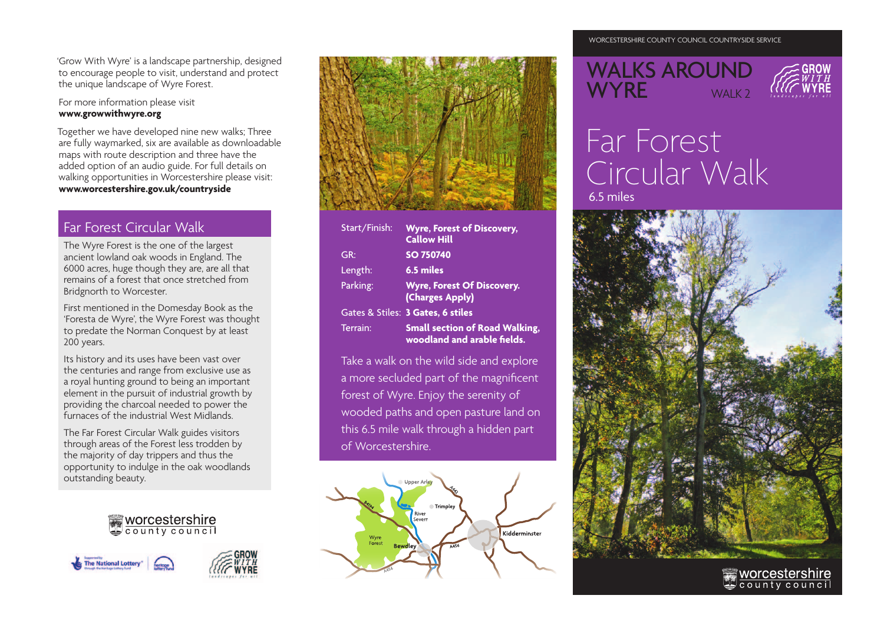'Grow With Wyre' is a landscape partnership, designed to encourage people to visit, understand and protect the unique landscape of Wyre Forest.

For more information please visit **www.growwithwyre.org**

Together we have developed nine new walks; Three are fully waymarked, six are available as downloadable maps with route description and three have the added option of an audio guide. For full details on walking opportunities in Worcestershire please visit: **www.worcestershire.gov.uk/countryside**

### Far Forest Circular Walk

The Wyre Forest is the one of the largest ancient lowland oak woods in England. The 6000 acres, huge though they are, are all that remains of a forest that once stretched from Bridgnorth to Worcester.

First mentioned in the Domesday Book as the 'Foresta de Wyre', the Wyre Forest was thought to predate the Norman Conquest by at least 200 years.

Its history and its uses have been vast over the centuries and range from exclusive use as a royal hunting ground to being an important element in the pursuit of industrial growth by providing the charcoal needed to power the furnaces of the industrial West Midlands.

The Far Forest Circular Walk guides visitors through areas of the Forest less trodden by the majority of day trippers and thus the opportunity to indulge in the oak woodlands outstanding beauty.









| Start/Finish: | <b>Wyre, Forest of Discovery,</b><br><b>Callow Hill</b>              |
|---------------|----------------------------------------------------------------------|
| GR:           | SO 750740                                                            |
| Length:       | 6.5 miles                                                            |
| Parking:      | <b>Wyre, Forest Of Discovery.</b><br>(Charges Apply)                 |
|               | Gates & Stiles: 3 Gates, 6 stiles                                    |
| Terrain:      | <b>Small section of Road Walking,</b><br>woodland and arable fields. |

Take a walk on the wild side and explore a more secluded part of the magnificent forest of Wyre. Enjoy the serenity of wooded paths and open pasture land on this 6.5 mile walk through a hidden part of Worcestershire.



#### WORCESTERSHIRE COUNTY COUNCIL COUNTRYSIDE SERVICE

## WALKS AROUND WYRE WALK?



# Far Forest Circular Walk 6.5 miles



worcestershire